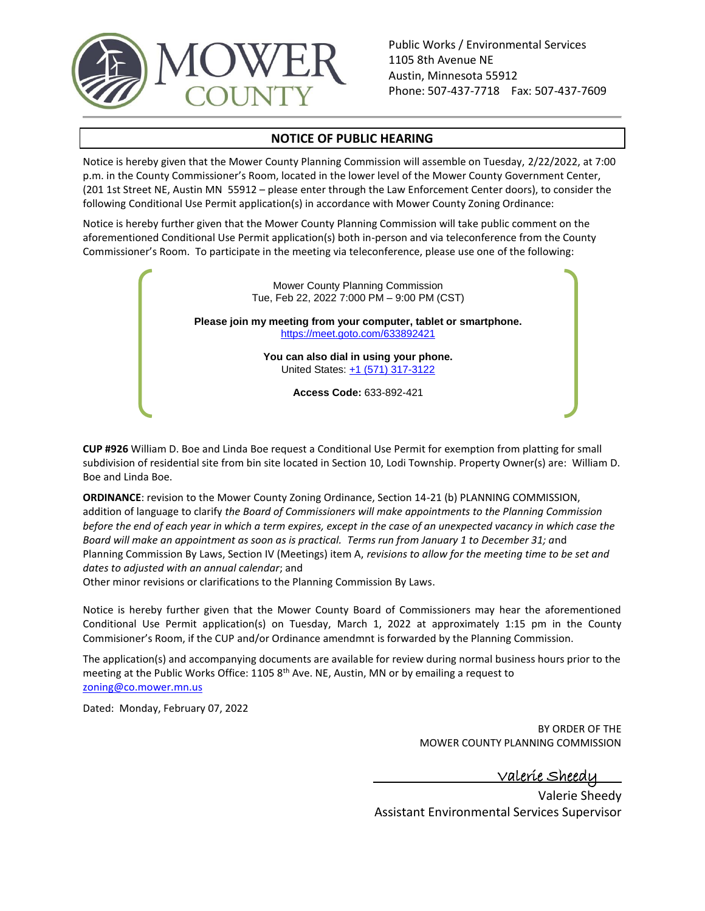

Public Works / Environmental Services 1105 8th Avenue NE Austin, Minnesota 55912 Phone: 507-437-7718 Fax: 507-437-7609

## **NOTICE OF PUBLIC HEARING**

Notice is hereby given that the Mower County Planning Commission will assemble on Tuesday, 2/22/2022, at 7:00 p.m. in the County Commissioner's Room, located in the lower level of the Mower County Government Center, (201 1st Street NE, Austin MN 55912 – please enter through the Law Enforcement Center doors), to consider the following Conditional Use Permit application(s) in accordance with Mower County Zoning Ordinance:

Notice is hereby further given that the Mower County Planning Commission will take public comment on the aforementioned Conditional Use Permit application(s) both in-person and via teleconference from the County Commissioner's Room. To participate in the meeting via teleconference, please use one of the following:



**CUP #926** William D. Boe and Linda Boe request a Conditional Use Permit for exemption from platting for small subdivision of residential site from bin site located in Section 10, Lodi Township. Property Owner(s) are: William D. Boe and Linda Boe.

**ORDINANCE**: revision to the Mower County Zoning Ordinance, Section 14-21 (b) PLANNING COMMISSION, addition of language to clarify *the Board of Commissioners will make appointments to the Planning Commission before the end of each year in which a term expires, except in the case of an unexpected vacancy in which case the Board will make an appointment as soon as is practical. Terms run from January 1 to December 31; a*nd Planning Commission By Laws, Section IV (Meetings) item A, *revisions to allow for the meeting time to be set and dates to adjusted with an annual calendar*; and

Other minor revisions or clarifications to the Planning Commission By Laws.

Notice is hereby further given that the Mower County Board of Commissioners may hear the aforementioned Conditional Use Permit application(s) on Tuesday, March 1, 2022 at approximately 1:15 pm in the County Commisioner's Room, if the CUP and/or Ordinance amendmnt is forwarded by the Planning Commission.

The application(s) and accompanying documents are available for review during normal business hours prior to the meeting at the Public Works Office: 1105  $8<sup>th</sup>$  Ave. NE, Austin, MN or by emailing a request to [zoning@co.mower.mn.us](mailto:zoning@co.mower.mn.us)

Dated: Monday, February 07, 2022

BY ORDER OF THE MOWER COUNTY PLANNING COMMISSION

<u>Valerie Shee</u>d

Valerie Sheedy Assistant Environmental Services Supervisor